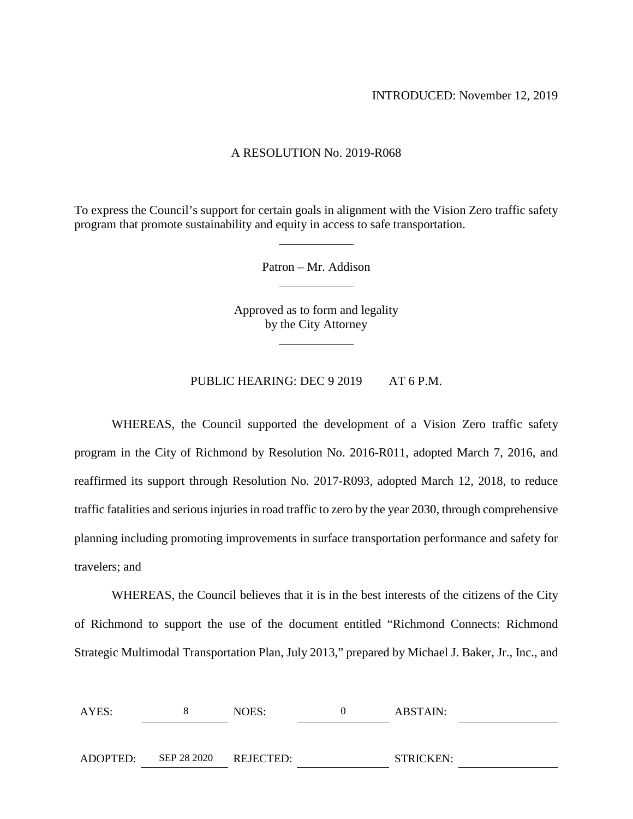INTRODUCED: November 12, 2019

### A RESOLUTION No. 2019-R068

To express the Council's support for certain goals in alignment with the Vision Zero traffic safety program that promote sustainability and equity in access to safe transportation.

Patron – Mr. Addison

Approved as to form and legality by the City Attorney

PUBLIC HEARING: DEC 9 2019 AT 6 P.M.

WHEREAS, the Council supported the development of a Vision Zero traffic safety program in the City of Richmond by Resolution No. 2016-R011, adopted March 7, 2016, and reaffirmed its support through Resolution No. 2017-R093, adopted March 12, 2018, to reduce traffic fatalities and serious injuries in road traffic to zero by the year 2030, through comprehensive planning including promoting improvements in surface transportation performance and safety for travelers; and

WHEREAS, the Council believes that it is in the best interests of the citizens of the City of Richmond to support the use of the document entitled "Richmond Connects: Richmond Strategic Multimodal Transportation Plan, July 2013," prepared by Michael J. Baker, Jr., Inc., and

| AYES:    | NOES:                 | ABSTAIN:         |  |
|----------|-----------------------|------------------|--|
|          |                       |                  |  |
| ADOPTED: | SEP 28 2020 REJECTED: | <b>STRICKEN:</b> |  |
|          |                       |                  |  |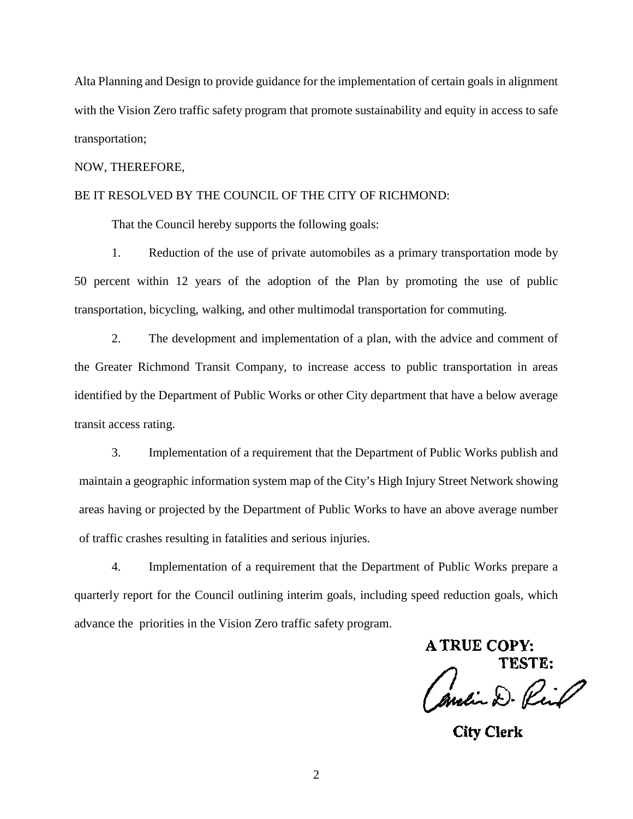Alta Planning and Design to provide guidance for the implementation of certain goals in alignment with the Vision Zero traffic safety program that promote sustainability and equity in access to safe transportation;

### NOW, THEREFORE,

### BE IT RESOLVED BY THE COUNCIL OF THE CITY OF RICHMOND:

That the Council hereby supports the following goals:

1. Reduction of the use of private automobiles as a primary transportation mode by 50 percent within 12 years of the adoption of the Plan by promoting the use of public transportation, bicycling, walking, and other multimodal transportation for commuting.

2. The development and implementation of a plan, with the advice and comment of the Greater Richmond Transit Company, to increase access to public transportation in areas identified by the Department of Public Works or other City department that have a below average transit access rating.

3. Implementation of a requirement that the Department of Public Works publish and maintain a geographic information system map of the City's High Injury Street Network showing areas having or projected by the Department of Public Works to have an above average number of traffic crashes resulting in fatalities and serious injuries.

4. Implementation of a requirement that the Department of Public Works prepare a quarterly report for the Council outlining interim goals, including speed reduction goals, which advance the priorities in the Vision Zero traffic safety program.

**A TRUE COPY:** TESTE: Andin D. Riil

**City Clerk**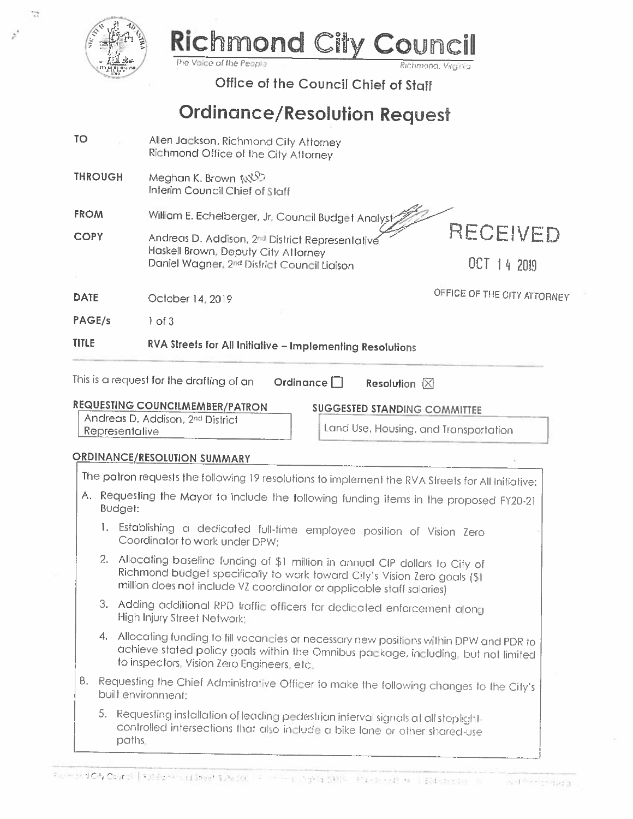

T.

### Richmond CITY The Voice of the People

Office of the Council Chief of Staff

# **Ordinance/Resolution Request**

- **TO** Allen Jackson, Richmond City Attorney Richmond Office of the City Attorney
- Meghan K. Brown NXP **THROUGH** Interim Council Chief of Staff

**FROM** William E. Echelberger, Jr. Council Budget Analyst

Andreas D. Addison, 2nd District Representative **COPY** Haskell Brown, Deputy City Attorney Daniel Wagner, 2nd District Council Liaison

RECEIVED

OFFICE OF THE CITY ATTORNEY

**DATE** October 14, 2019

PAGE/s  $1$  of  $3$ 

#### **TITLE** RVA Streets for All Initiative - Implementing Resolutions

## **REQUESTING COUNCILMEMBER/PATRON**

**SUGGESTED STANDING COMMITTEE** 

Andreas D. Addison, 2nd District Representative

Land Use, Housing, and Transportation

Richmond, Virgin a

### ORDINANCE/RESOLUTION SUMMARY

The patron requests the following 19 resolutions to implement the RVA Streets for All Initiative: A. Requesting the Mayor to include the following funding items in the proposed FY20-21 Budget: 1. Establishing a dedicated full-time employee position of Vision Zero Coordinator to work under DPW: 2. Allocating baseline funding of \$1 million in annual CIP dollars to City of

- Richmond budget specifically to work toward City's Vision Zero goals (\$1) million does not include VZ coordinator or applicable staff salaries)
- 3. Adding additional RPD traffic officers for dedicated enforcement along **High Injury Street Network:**
- 4. Allocating funding to fill vacancies or necessary new positions within DPW and PDR to achieve stated policy goals within the Omnibus package, including, but not limited to inspectors, Vision Zero Engineers, etc.
- B. Requesting the Chief Administrative Officer to make the following changes to the City's built environment:
	- 5. Requesting installation of leading pedestrian interval signals at all stoplightcontrolled intersections that also include a bike lane or other shared-use paths.

OCT 14 2019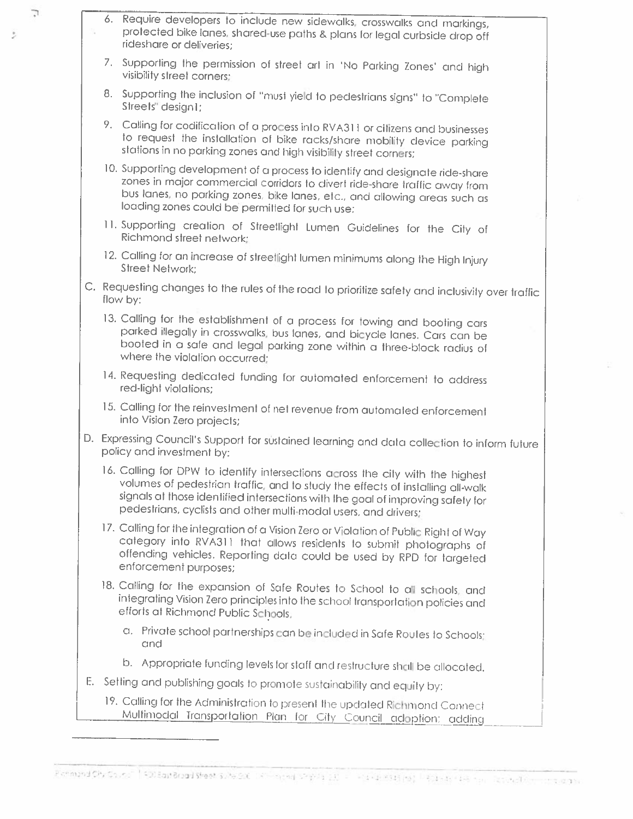6. Require developers to include new sidewalks, crosswalks and markings, profected bike lanes, shared-use paths & plans for legal curbside drop off rideshare or deliveries;

7

t,

- 7. Supporting the permission of street art in 'No Parking Zones' and high visibility street corners:
- 8. Supporting the inclusion of "must yield to pedestrians signs" to "Complete Streets" design1:
- 9. Calling for codification of a process into RVA311 or citizens and businesses to request the installation of bike racks/share mobility device parking stations in no parking zones and high visibility street corners;
- 10. Supporting development of a process to identify and designate ride-share zones in major commercial corridors to divert ride-share traffic away from bus lanes, no parking zones, bike lanes, etc., and allowing areas such as loading zones could be permitted for such use;
- 11. Supporting creation of Streetlight Lumen Guidelines for the City of Richmond street network:
- 12. Calling for an increase of streetlight lumen minimums along the High Injury **Street Network:**
- C. Requesting changes to the rules of the road to prioritize safety and inclusivity over traffic flow by:
	- 13. Calling for the establishment of a process for towing and booting cars parked illegally in crosswalks, bus lanes, and bicycle lanes. Cars can be booted in a safe and legal parking zone within a three-block radius of where the violation occurred;
	- 14. Requesting dedicated funding for automated enforcement to address red-light violations;
	- 15. Calling for the reinvestment of net revenue from automated enforcement into Vision Zero projects;
- D. Expressing Council's Support for sustained learning and data collection to inform future policy and investment by:
	- 16. Calling for DPW to identify intersections across the city with the highest volumes of pedestrian traffic, and to study the effects of installing all-walk signals at those identified intersections with the goal of improving safety for pedestrians, cyclists and other multi-modal users, and drivers;
	- 17. Calling for the integration of a Vision Zero or Violation of Public Right of Way category into RVA311 that allows residents to submit photographs of offending vehicles. Reporting data could be used by RPD for targeted enforcement purposes;
	- 18. Calling for the expansion of Safe Routes to School to all schools, and integrating Vision Zero principles into the school transportation policies and efforts at Richmond Public Schools,
		- a. Private school partnerships can be included in Safe Routes to Schools: and
		- b. Appropriate funding levels for staff and restructure shall be allocated.
- E. Setting and publishing goals to promote sustainability and equity by:
	- 19. Calling for the Administration to present the updated Richmond Connect Multimodal Transportation Plan for City Council adoption: adding

Pichmand CPv Council | FDDEast Braad Sheet | Subside: | Film Incredi Sheets | Linux Pictions | Pictions | Film Inc. | Designed Discussions | Designed Discounts | a discussions | Designed Discounts | a discussions | Designe